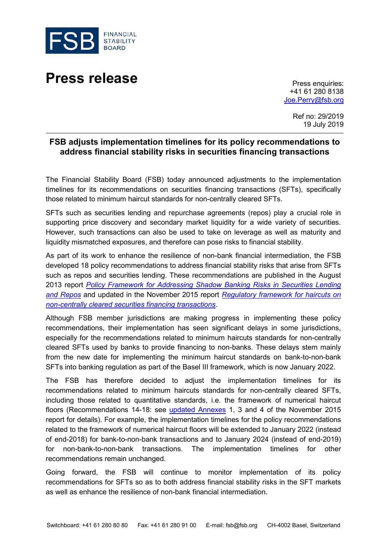



+41 61 280 8138 [Joe.Perry@fsb.org](mailto:Joe.Perry@fsb.org)

> Ref no: 29/2019 19 July 2019

## **FSB adjusts implementation timelines for its policy recommendations to address financial stability risks in securities financing transactions**

The Financial Stability Board (FSB) today announced adjustments to the implementation timelines for its recommendations on securities financing transactions (SFTs), specifically those related to minimum haircut standards for non-centrally cleared SFTs.

SFTs such as securities lending and repurchase agreements (repos) play a crucial role in supporting price discovery and secondary market liquidity for a wide variety of securities. However, such transactions can also be used to take on leverage as well as maturity and liquidity mismatched exposures, and therefore can pose risks to financial stability.

As part of its work to enhance the resilience of non-bank financial intermediation, the FSB developed 18 policy recommendations to address financial stability risks that arise from SFTs such as repos and securities lending. These recommendations are published in the August 2013 report *[Policy Framework for Addressing Shadow Banking Risks in Securities Lending](https://www.fsb.org/2013/08/r_130829b/)  [and Repos](https://www.fsb.org/2013/08/r_130829b/)* and updated in the November 2015 report *[Regulatory framework for haircuts on](https://www.fsb.org/2019/07/regulatory-framework-for-haircuts-on-non-centrally-cleared-securities-financing-transactions/)  [non-centrally cleared securities financing transactions](https://www.fsb.org/2019/07/regulatory-framework-for-haircuts-on-non-centrally-cleared-securities-financing-transactions/)*.

Although FSB member jurisdictions are making progress in implementing these policy recommendations, their implementation has seen significant delays in some jurisdictions, especially for the recommendations related to minimum haircuts standards for non-centrally cleared SFTs used by banks to provide financing to non-banks. These delays stem mainly from the new date for implementing the minimum haircut standards on bank-to-non-bank SFTs into banking regulation as part of the Basel III framework, which is now January 2022.

The FSB has therefore decided to adjust the implementation timelines for its recommendations related to minimum haircuts standards for non-centrally cleared SFTs, including those related to quantitative standards, i.e. the framework of numerical haircut floors (Recommendations 14-18: see [updated Annexes](https://www.fsb.org/2019/07/regulatory-framework-for-haircuts-on-non-centrally-cleared-securities-financing-transactions/) 1, 3 and 4 of the November 2015 report for details). For example, the implementation timelines for the policy recommendations related to the framework of numerical haircut floors will be extended to January 2022 (instead of end-2018) for bank-to-non-bank transactions and to January 2024 (instead of end-2019) for non-bank-to-non-bank transactions. The implementation timelines for other recommendations remain unchanged.

Going forward, the FSB will continue to monitor implementation of its policy recommendations for SFTs so as to both address financial stability risks in the SFT markets as well as enhance the resilience of non-bank financial intermediation.